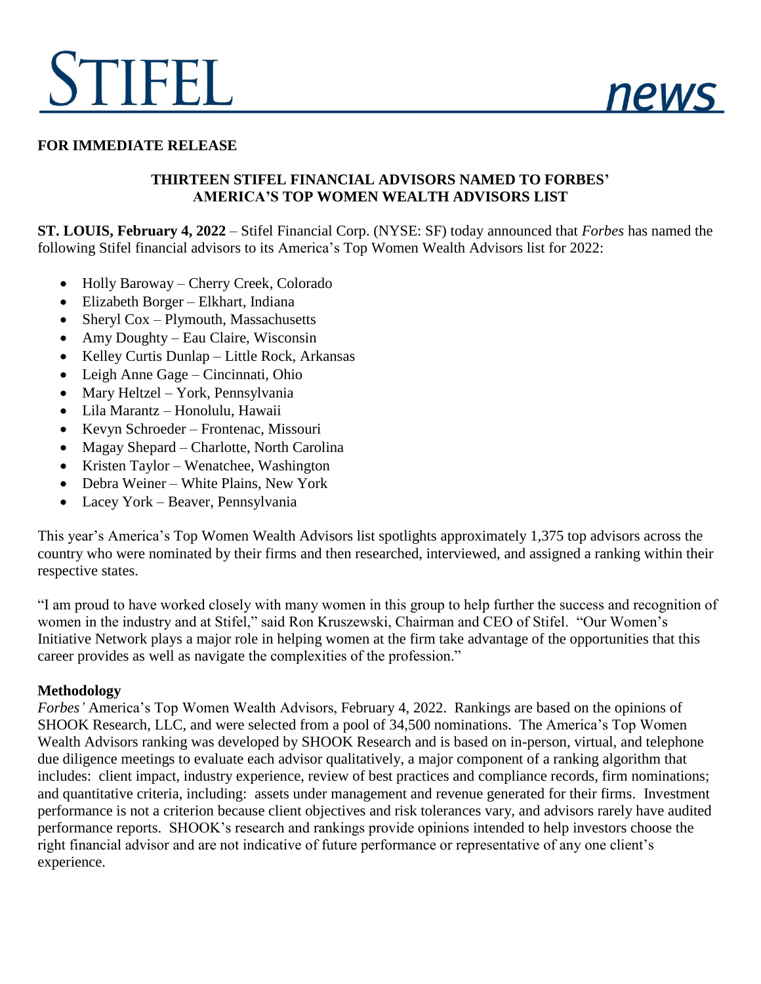# STIFEL



#### **FOR IMMEDIATE RELEASE**

## **THIRTEEN STIFEL FINANCIAL ADVISORS NAMED TO FORBES' AMERICA'S TOP WOMEN WEALTH ADVISORS LIST**

**ST. LOUIS, February 4, 2022** – Stifel Financial Corp. (NYSE: SF) today announced that *Forbes* has named the following Stifel financial advisors to its America's Top Women Wealth Advisors list for 2022:

- Holly Baroway Cherry Creek, Colorado
- Elizabeth Borger Elkhart, Indiana
- Sheryl  $Cox$  Plymouth, Massachusetts
- Amy Doughty Eau Claire, Wisconsin
- Kelley Curtis Dunlap Little Rock, Arkansas
- Leigh Anne Gage Cincinnati, Ohio
- Mary Heltzel York, Pennsylvania
- Lila Marantz Honolulu, Hawaii
- Kevyn Schroeder Frontenac, Missouri
- Magay Shepard Charlotte, North Carolina
- Kristen Taylor Wenatchee, Washington
- Debra Weiner White Plains, New York
- Lacey York Beaver, Pennsylvania

This year's America's Top Women Wealth Advisors list spotlights approximately 1,375 top advisors across the country who were nominated by their firms and then researched, interviewed, and assigned a ranking within their respective states.

"I am proud to have worked closely with many women in this group to help further the success and recognition of women in the industry and at Stifel," said Ron Kruszewski, Chairman and CEO of Stifel. "Our Women's Initiative Network plays a major role in helping women at the firm take advantage of the opportunities that this career provides as well as navigate the complexities of the profession."

#### **Methodology**

*Forbes'* America's Top Women Wealth Advisors, February 4, 2022. Rankings are based on the opinions of SHOOK Research, LLC, and were selected from a pool of 34,500 nominations. The America's Top Women Wealth Advisors ranking was developed by SHOOK Research and is based on in-person, virtual, and telephone due diligence meetings to evaluate each advisor qualitatively, a major component of a ranking algorithm that includes: client impact, industry experience, review of best practices and compliance records, firm nominations; and quantitative criteria, including: assets under management and revenue generated for their firms. Investment performance is not a criterion because client objectives and risk tolerances vary, and advisors rarely have audited performance reports. SHOOK's research and rankings provide opinions intended to help investors choose the right financial advisor and are not indicative of future performance or representative of any one client's experience.